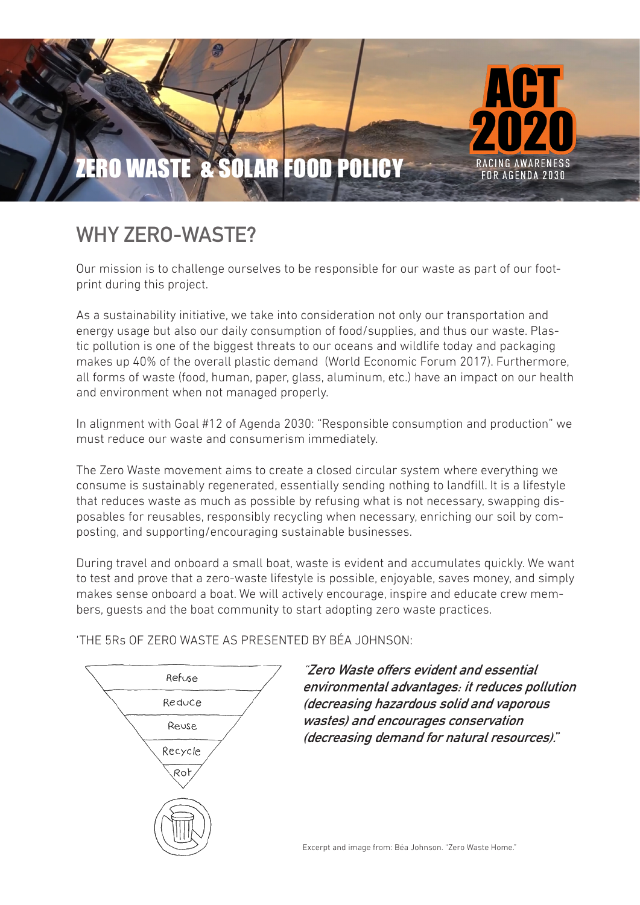

# **WHY ZERO-WASTE?**

Our mission is to challenge ourselves to be responsible for our waste as part of our footprint during this project.

As a sustainability initiative, we take into consideration not only our transportation and energy usage but also our daily consumption of food/supplies, and thus our waste. Plastic pollution is one of the biggest threats to our oceans and wildlife today and packaging makes up 40% of the overall plastic demand (World Economic Forum 2017). Furthermore, all forms of waste (food, human, paper, glass, aluminum, etc.) have an impact on our health and environment when not managed properly.

In alignment with Goal #12 of Agenda 2030: "Responsible consumption and production" we must reduce our waste and consumerism immediately.

The Zero Waste movement aims to create a closed circular system where everything we consume is sustainably regenerated, essentially sending nothing to landfill. It is a lifestyle that reduces waste as much as possible by refusing what is not necessary, swapping disposables for reusables, responsibly recycling when necessary, enriching our soil by composting, and supporting/encouraging sustainable businesses.

During travel and onboard a small boat, waste is evident and accumulates quickly. We want to test and prove that a zero-waste lifestyle is possible, enjoyable, saves money, and simply makes sense onboard a boat. We will actively encourage, inspire and educate crew members, guests and the boat community to start adopting zero waste practices.

'THE 5Rs OF ZERO WASTE AS PRESENTED BY BÉA JOHNSON:



"**Zero Waste offers evident and essential environmental advantages: it reduces pollution (decreasing hazardous solid and vaporous wastes) and encourages conservation (decreasing demand for natural resources)."**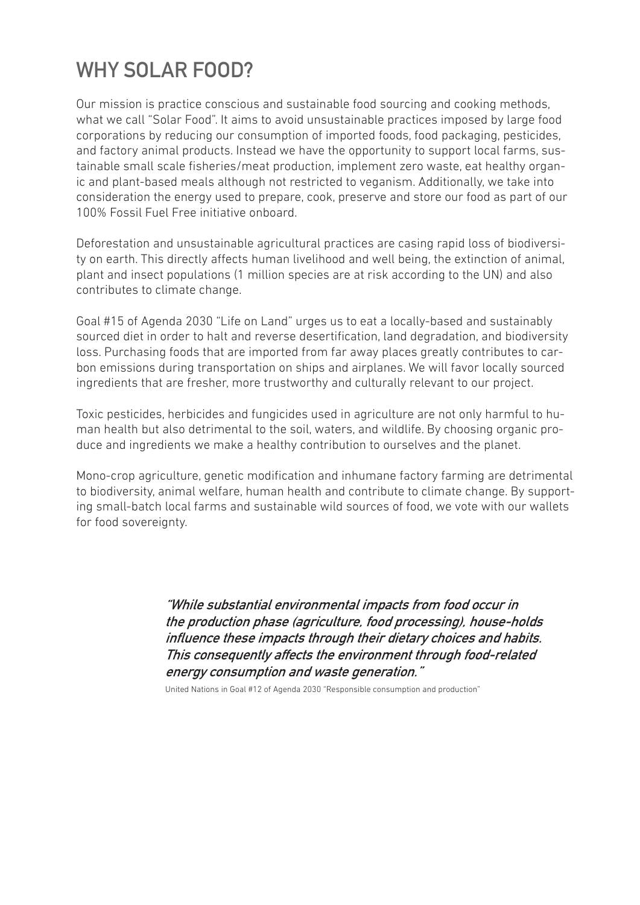# **WHY SOLAR FOOD?**

Our mission is practice conscious and sustainable food sourcing and cooking methods, what we call "Solar Food". It aims to avoid unsustainable practices imposed by large food corporations by reducing our consumption of imported foods, food packaging, pesticides, and factory animal products. Instead we have the opportunity to support local farms, sustainable small scale fisheries/meat production, implement zero waste, eat healthy organic and plant-based meals although not restricted to veganism. Additionally, we take into consideration the energy used to prepare, cook, preserve and store our food as part of our 100% Fossil Fuel Free initiative onboard.

Deforestation and unsustainable agricultural practices are casing rapid loss of biodiversity on earth. This directly affects human livelihood and well being, the extinction of animal, plant and insect populations (1 million species are at risk according to the UN) and also contributes to climate change.

Goal #15 of Agenda 2030 "Life on Land" urges us to eat a locally-based and sustainably sourced diet in order to halt and reverse desertification, land degradation, and biodiversity loss. Purchasing foods that are imported from far away places greatly contributes to carbon emissions during transportation on ships and airplanes. We will favor locally sourced ingredients that are fresher, more trustworthy and culturally relevant to our project.

Toxic pesticides, herbicides and fungicides used in agriculture are not only harmful to human health but also detrimental to the soil, waters, and wildlife. By choosing organic produce and ingredients we make a healthy contribution to ourselves and the planet.

Mono-crop agriculture, genetic modification and inhumane factory farming are detrimental to biodiversity, animal welfare, human health and contribute to climate change. By supporting small-batch local farms and sustainable wild sources of food, we vote with our wallets for food sovereignty.

> **"While substantial environmental impacts from food occur in the production phase (agriculture, food processing), house-holds influence these impacts through their dietary choices and habits. This consequently affects the environment through food-related energy consumption and waste generation."**

United Nations in Goal #12 of Agenda 2030 "Responsible consumption and production"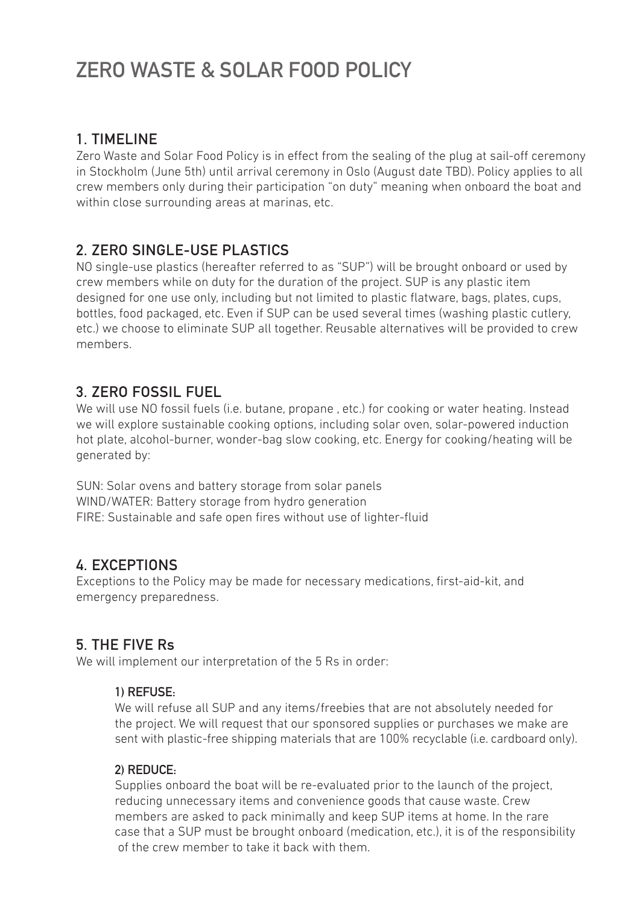# **ZERO WASTE & SOLAR FOOD POLICY**

## **1. TIMELINE**

Zero Waste and Solar Food Policy is in effect from the sealing of the plug at sail-off ceremony in Stockholm (June 5th) until arrival ceremony in Oslo (August date TBD). Policy applies to all crew members only during their participation "on duty" meaning when onboard the boat and within close surrounding areas at marinas, etc.

# **2. ZERO SINGLE-USE PLASTICS**

NO single-use plastics (hereafter referred to as "SUP") will be brought onboard or used by crew members while on duty for the duration of the project. SUP is any plastic item designed for one use only, including but not limited to plastic flatware, bags, plates, cups, bottles, food packaged, etc. Even if SUP can be used several times (washing plastic cutlery, etc.) we choose to eliminate SUP all together. Reusable alternatives will be provided to crew members.

## **3. ZERO FOSSIL FUEL**

We will use NO fossil fuels (i.e. butane, propane , etc.) for cooking or water heating. Instead we will explore sustainable cooking options, including solar oven, solar-powered induction hot plate, alcohol-burner, wonder-bag slow cooking, etc. Energy for cooking/heating will be generated by:

SUN: Solar ovens and battery storage from solar panels WIND/WATER: Battery storage from hydro generation FIRE: Sustainable and safe open fires without use of lighter-fluid

## **4. EXCEPTIONS**

Exceptions to the Policy may be made for necessary medications, first-aid-kit, and emergency preparedness.

## **5. THE FIVE Rs**

We will implement our interpretation of the 5 Rs in order:

#### **1) REFUSE:**

We will refuse all SUP and any items/freebies that are not absolutely needed for the project. We will request that our sponsored supplies or purchases we make are sent with plastic-free shipping materials that are 100% recyclable (i.e. cardboard only).

#### **2) REDUCE:**

Supplies onboard the boat will be re-evaluated prior to the launch of the project, reducing unnecessary items and convenience goods that cause waste. Crew members are asked to pack minimally and keep SUP items at home. In the rare case that a SUP must be brought onboard (medication, etc.), it is of the responsibility of the crew member to take it back with them.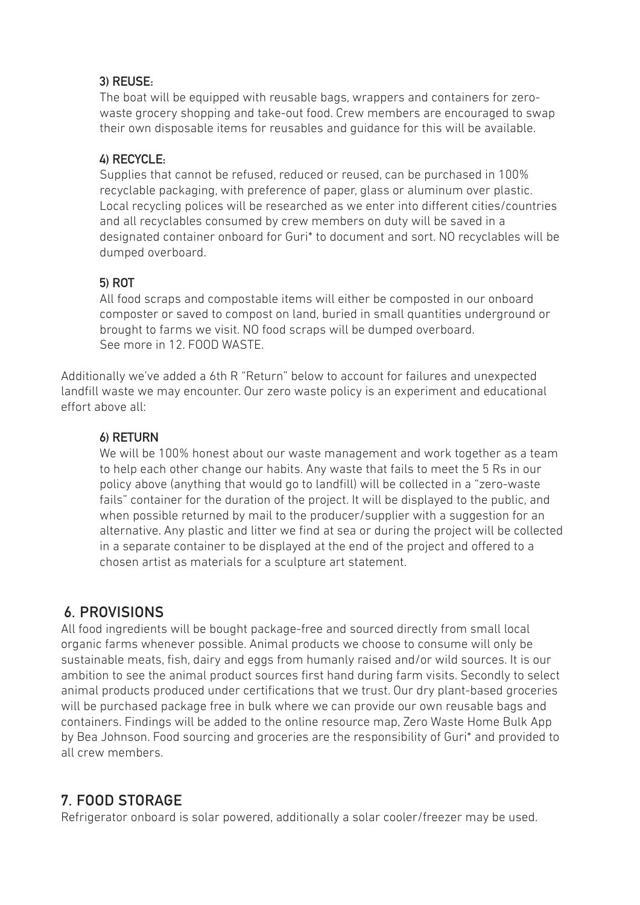#### **3) REUSE:**

The boat will be equipped with reusable bags, wrappers and containers for zerowaste grocery shopping and take-out food. Crew members are encouraged to swap their own disposable items for reusables and guidance for this will be available.

#### **4) RECYCLE:**

Supplies that cannot be refused, reduced or reused, can be purchased in 100% recyclable packaging, with preference of paper, glass or aluminum over plastic. Local recycling polices will be researched as we enter into different cities/countries and all recyclables consumed by crew members on duty will be saved in a designated container onboard for Guri\* to document and sort. NO recyclables will be dumped overboard.

#### **5) ROT**

All food scraps and compostable items will either be composted in our onboard composter or saved to compost on land, buried in small quantities underground or brought to farms we visit. NO food scraps will be dumped overboard. See more in 12. FOOD WASTE.

Additionally we've added a 6th R "Return" below to account for failures and unexpected landfill waste we may encounter. Our zero waste policy is an experiment and educational effort above all:

#### **6) RETURN**

We will be 100% honest about our waste management and work together as a team to help each other change our habits. Any waste that fails to meet the 5 Rs in our policy above (anything that would go to landfill) will be collected in a "zero-waste fails" container for the duration of the project. It will be displayed to the public, and when possible returned by mail to the producer/supplier with a suggestion for an alternative. Any plastic and litter we find at sea or during the project will be collected in a separate container to be displayed at the end of the project and offered to a chosen artist as materials for a sculpture art statement.

# **6. PROVISIONS**

All food ingredients will be bought package-free and sourced directly from small local organic farms whenever possible. Animal products we choose to consume will only be sustainable meats, fish, dairy and eggs from humanly raised and/or wild sources. It is our ambition to see the animal product sources first hand during farm visits. Secondly to select animal products produced under certifications that we trust. Our dry plant-based groceries will be purchased package free in bulk where we can provide our own reusable bags and containers. Findings will be added to the online resource map, Zero Waste Home Bulk App by Bea Johnson. Food sourcing and groceries are the responsibility of Guri\* and provided to all crew members.

# **7. FOOD STORAGE**

Refrigerator onboard is solar powered, additionally a solar cooler/freezer may be used.